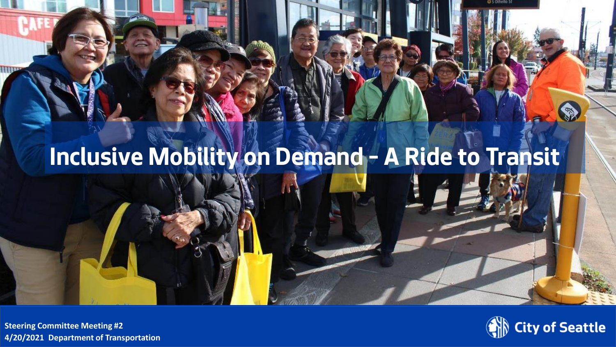## **Inclusive Mobility on Demand – A Ride to Transit**



**SP** 

**4/2021 Department of Transportation 11/2021 Department of Transportation 11/2021 4/20/2021 Department of Transportation**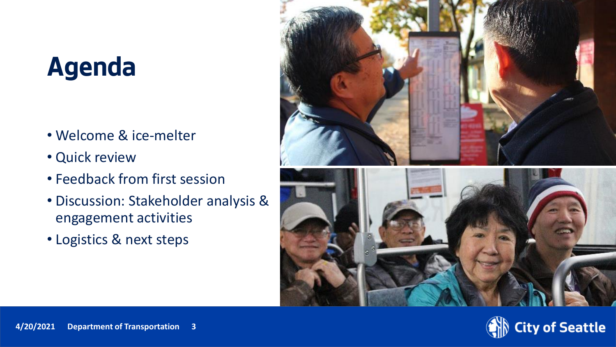# **Agenda**

- Welcome & ice-melter
- Quick review
- Feedback from first session
- Discussion: Stakeholder analysis & engagement activities
- Logistics & next steps





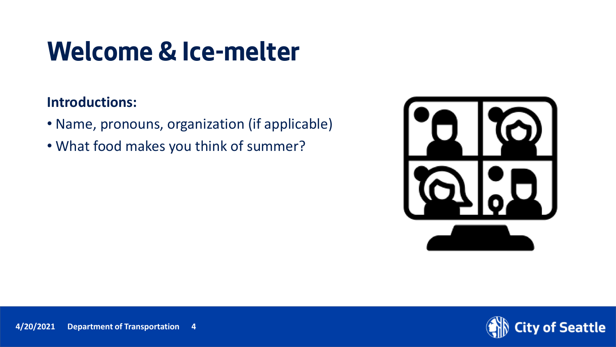# **Welcome & Ice-melter**

### **Introductions:**

- Name, pronouns, organization (if applicable)
- What food makes you think of summer?



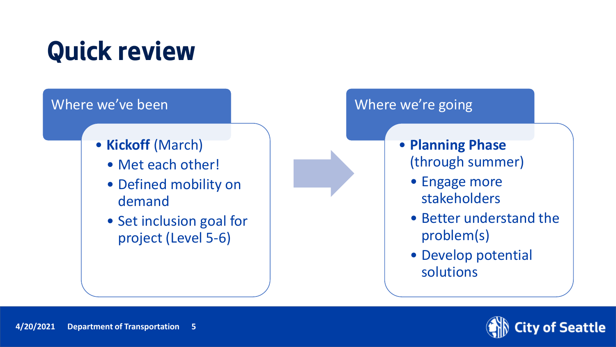# **Quick review**

## Where we've been

- **Kickoff** (March)
	- Met each other!
	- Defined mobility on demand
	- Set inclusion goal for project (Level 5-6)

## Where we're going

- **Planning Phase**  (through summer)
	- Engage more stakeholders
	- Better understand the problem(s)
	- Develop potential solutions

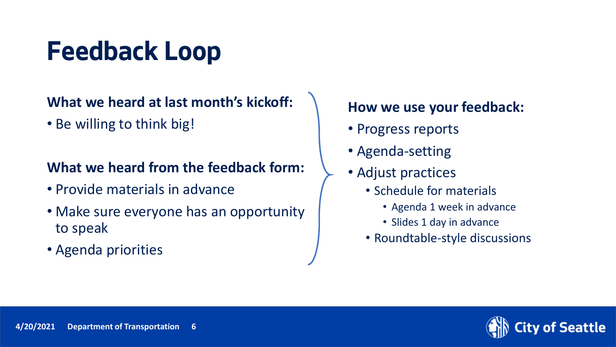# **Feedback Loop**

## **What we heard at last month's kickoff:**

• Be willing to think big!

### **What we heard from the feedback form:**

- Provide materials in advance
- Make sure everyone has an opportunity to speak
- Agenda priorities

#### **How we use your feedback:**

- Progress reports
- Agenda-setting
- Adjust practices
	- Schedule for materials
		- Agenda 1 week in advance
		- Slides 1 day in advance
	- Roundtable-style discussions

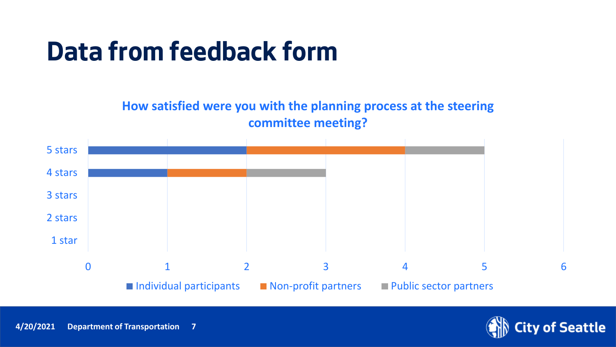**How satisfied were you with the planning process at the steering committee meeting?**



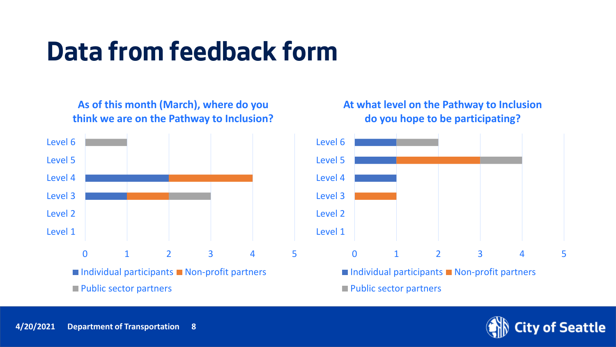#### **As of this month (March), where do you think we are on the Pathway to Inclusion?**



 $\blacksquare$  Individual participants  $\blacksquare$  Non-profit partners **Public sector partners** 

#### **At what level on the Pathway to Inclusion do you hope to be participating?**



**Public sector partners** 

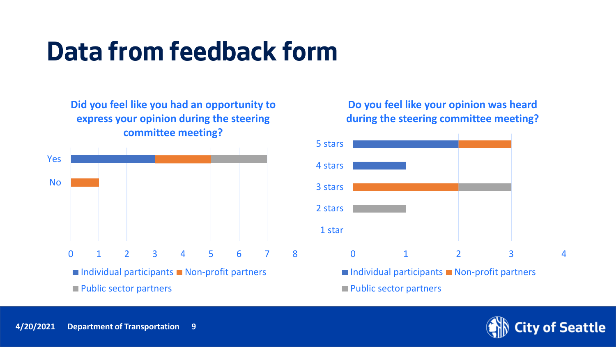**Did you feel like you had an opportunity to express your opinion during the steering committee meeting?**



 $\blacksquare$  Individual participants  $\blacksquare$  Non-profit partners **Public sector partners** 

#### **Do you feel like your opinion was heard during the steering committee meeting?**



**Public sector partners** 

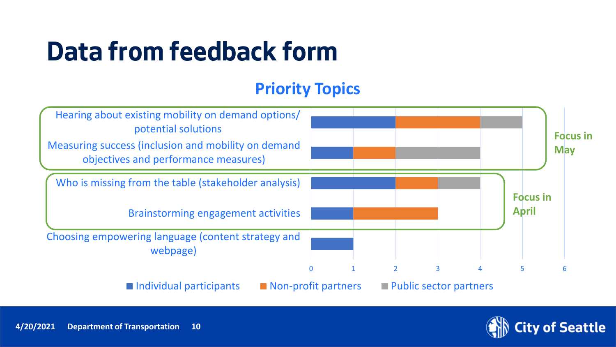## **Priority Topics**



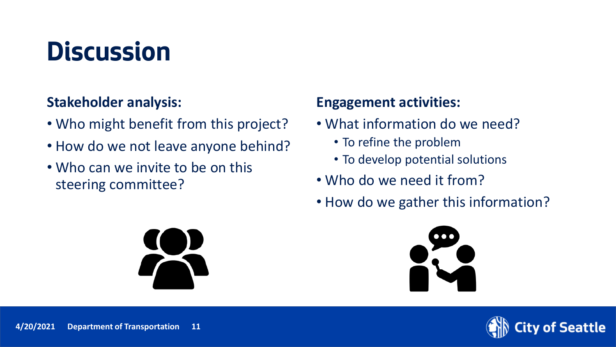# **Discussion**

## **Stakeholder analysis:**

- Who might benefit from this project?
- How do we not leave anyone behind?
- Who can we invite to be on this steering committee?

## **Engagement activities:**

- What information do we need?
	- To refine the problem
	- To develop potential solutions
- Who do we need it from?
- How do we gather this information?





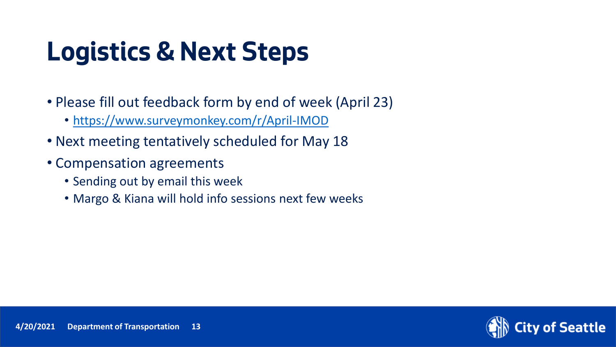# **Logistics & Next Steps**

- Please fill out feedback form by end of week (April 23)
	- <https://www.surveymonkey.com/r/April-IMOD>
- Next meeting tentatively scheduled for May 18
- Compensation agreements
	- Sending out by email this week
	- Margo & Kiana will hold info sessions next few weeks